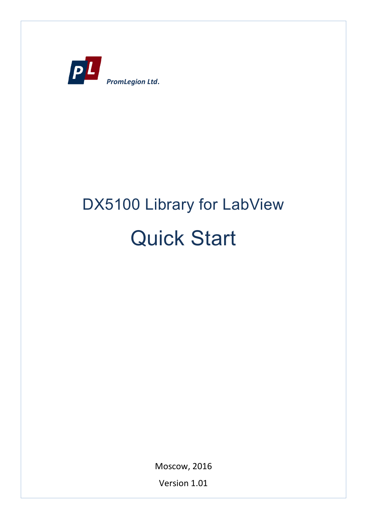

# DX5100 Library for LabView Quick Start

Moscow, 2016

Version 1.01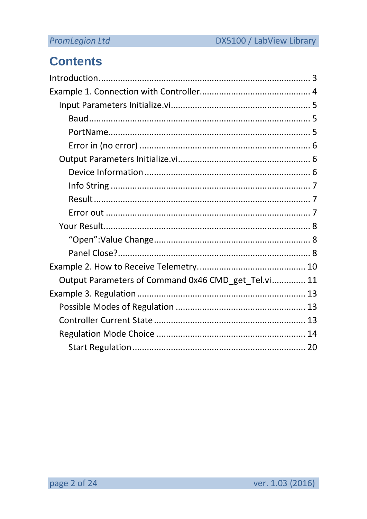# DX5100 / LabView Library

# **PromLegion Ltd**

# **Contents**

| Output Parameters of Command 0x46 CMD_get_Tel.vi 11 |  |
|-----------------------------------------------------|--|
|                                                     |  |
|                                                     |  |
|                                                     |  |
|                                                     |  |
|                                                     |  |

ver. 1.03 (2016)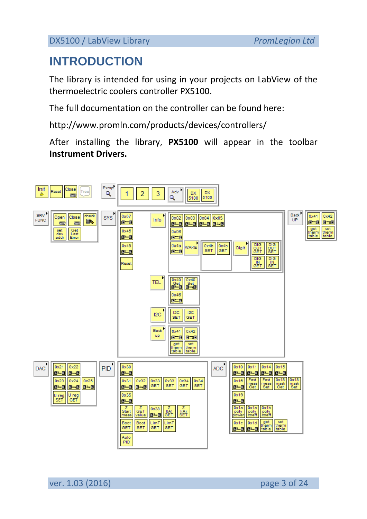# <span id="page-2-0"></span>**INTRODUCTION**

The library is intended for using in your projects on LabView of the thermoelectric coolers controller PX5100.

The full documentation on the controller can be found here:

http://www.promln.com/products/devices/controllers/

After installing the library, **PX5100** will appear in the toolbar **Instrument Drivers.**

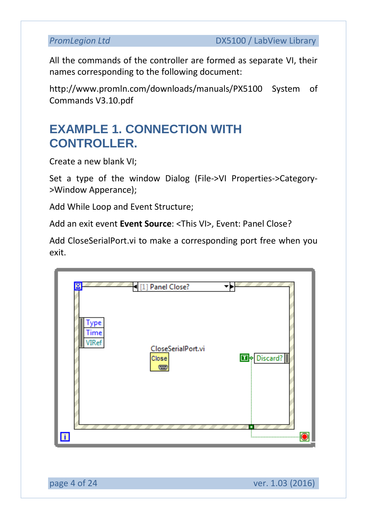All the commands of the controller are formed as separate VI, their names corresponding to the following document:

http://www.promln.com/downloads/manuals/PX5100 System of Commands V3.10.pdf

# <span id="page-3-0"></span>**EXAMPLE 1. CONNECTION WITH CONTROLLER.**

Create a new blank VI;

Set a type of the window Dialog (File->VI Properties->Category- >Window Apperance);

Add While Loop and Event Structure;

Add an exit event **Event Source**: <This VI>, Event: Panel Close?

Add CloseSerialPort.vi to make a corresponding port free when you exit.

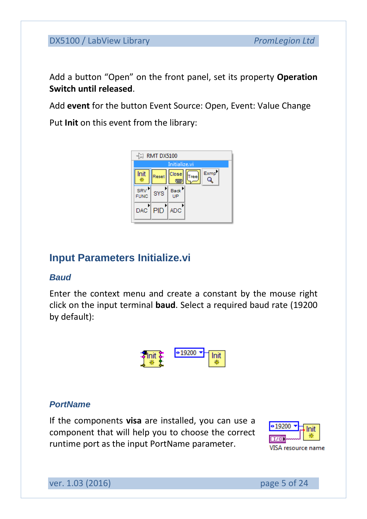Add a button "Open" on the front panel, set its property **Operation Switch until released**.

Add **event** for the button Event Source: Open, Event: Value Change

Put **Init** on this event from the library:



# <span id="page-4-0"></span>**Input Parameters Initialize.vi**

### <span id="page-4-1"></span>*Baud*

Enter the context menu and create a constant by the mouse right click on the input terminal **baud**. Select a required baud rate (19200 by default):



### <span id="page-4-2"></span>*PortName*

If the components **visa** are installed, you can use a component that will help you to choose the correct runtime port as the input PortName parameter.



ver. 1.03 (2016) **page 5 of 24** 

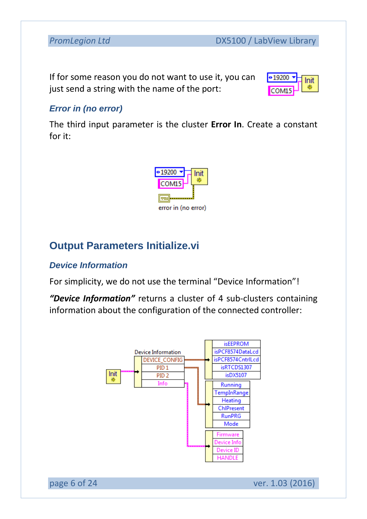If for some reason you do not want to use it, you can just send a string with the name of the port:



### <span id="page-5-0"></span>*Error in (no error)*

The third input parameter is the cluster **Error In**. Create a constant for it:



# <span id="page-5-1"></span>**Output Parameters Initialize.vi**

### <span id="page-5-2"></span>*Device Information*

For simplicity, we do not use the terminal "Device Information"!

*"Device Information"* returns a cluster of 4 sub-clusters containing information about the configuration of the connected controller:



page 6 of 24 ver. 1.03 (2016)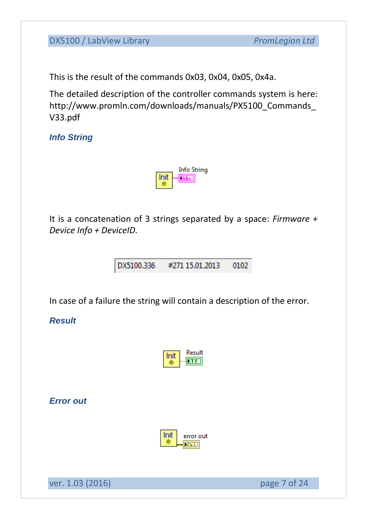This is the result of the commands 0х03, 0х04, 0х05, 0х4а.

The detailed description of the controller commands system is here: http://www.promln.com/downloads/manuals/PX5100\_Commands\_ V33.pdf

<span id="page-6-0"></span>*Info String*



It is a concatenation of 3 strings separated by a space: *Firmware + Device Info + DeviceID.*

> DX5100.336 #271 15.01.2013 0102

In case of a failure the string will contain a description of the error.

<span id="page-6-1"></span>*Result*



<span id="page-6-2"></span>*Error out*



ver. 1.03 (2016) **page 7 of 24**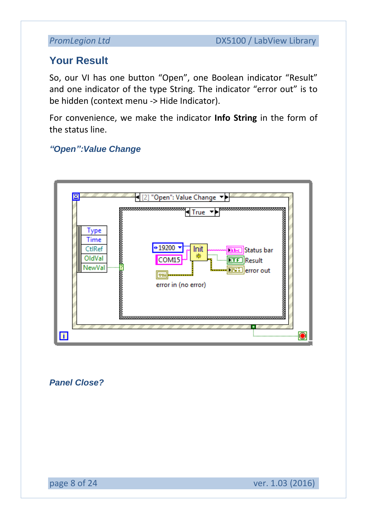# <span id="page-7-0"></span>**Your Result**

So, our VI has one button "Open", one Boolean indicator "Result" and one indicator of the type String. The indicator "error out" is to be hidden (context menu -> Hide Indicator).

For convenience, we make the indicator **Info String** in the form of the status line.

### <span id="page-7-1"></span>*"Open":Value Change*



<span id="page-7-2"></span>*Panel Close?*

page 8 of 24 ver. 1.03 (2016)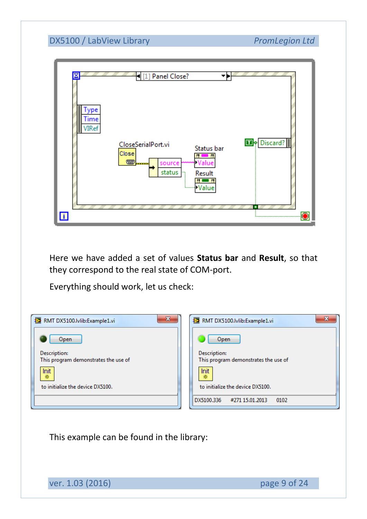| ⊠<br>Panel Close?<br>1<br>H                                                                                                                      |
|--------------------------------------------------------------------------------------------------------------------------------------------------|
| ype<br>Time<br>VIRef<br>Discard?<br>CloseSerialPort.vi<br><b>Status bar</b>                                                                      |
| Close<br>推理<br>I N<br>$\circledcirc$<br>• Value<br>source<br>---<br>$\cdots$<br>status<br>Result<br>捚<br>$\overline{\mathbf{r}}$<br><b>Value</b> |
| $\blacksquare$<br>I                                                                                                                              |

Here we have added a set of values **Status bar** and **Result**, so that they correspond to the real state of COM-port.

Everything should work, let us check:

| x                                    | 23                                    |
|--------------------------------------|---------------------------------------|
| RMT DX5100.lvlib:Example1.vi         | RMT DX5100.lvlib:Example1.vi          |
| Open                                 | Open                                  |
| Description:                         | Description:                          |
| This program demonstrates the use of | This program demonstrates the use of  |
| Init                                 | Init                                  |
| 柴                                    | 柴                                     |
| to initialize the device DX5100.     | to initialize the device DX5100.      |
|                                      | DX5100.336<br>#271 15.01.2013<br>0102 |

ver. 1.03 (2016) **page 9 of 24** 

This example can be found in the library: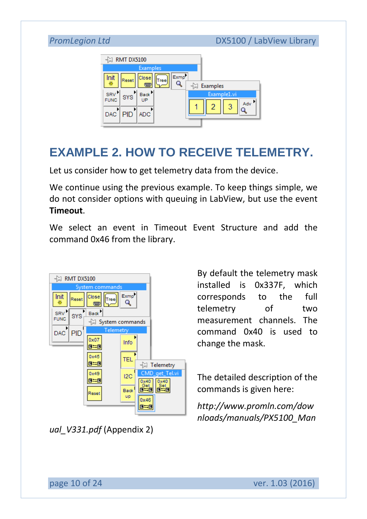

# <span id="page-9-0"></span>**EXAMPLE 2. HOW TO RECEIVE TELEMETRY.**

Let us consider how to get telemetry data from the device.

We continue using the previous example. To keep things simple, we do not consider options with queuing in LabView, but use the event **Timeout**.

We select an event in Timeout Event Structure and add the command 0x46 from the library.



*ual\_V331.pdf* (Appendix 2)

By default the telemetry mask installed is 0x337F, which corresponds to the full telemetry of two measurement channels. The command 0x40 is used to change the mask.

The detailed description of the commands is given here:

*http://www.promln.com/dow nloads/manuals/PX5100\_Man*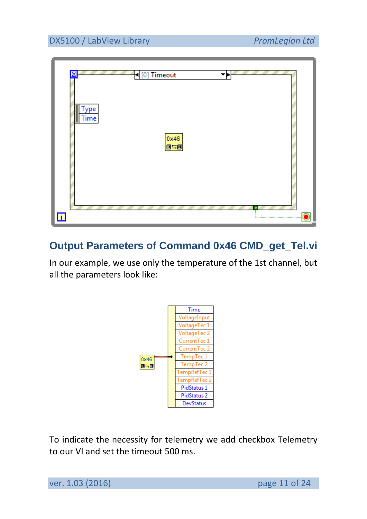| ⊠              | [0] Timeout |                |
|----------------|-------------|----------------|
| Type<br>Time   |             |                |
|                | 0x46        |                |
|                |             |                |
| $\blacksquare$ |             | $\blacksquare$ |

# <span id="page-10-0"></span>**Output Parameters of Command 0x46 CMD\_get\_Tel.vi**

In our example, we use only the temperature of the 1st channel, but all the parameters look like:



To indicate the necessity for telemetry we add checkbox Telemetry to our VI and set the timeout 500 ms.

ver. 1.03 (2016) **page 11 of 24**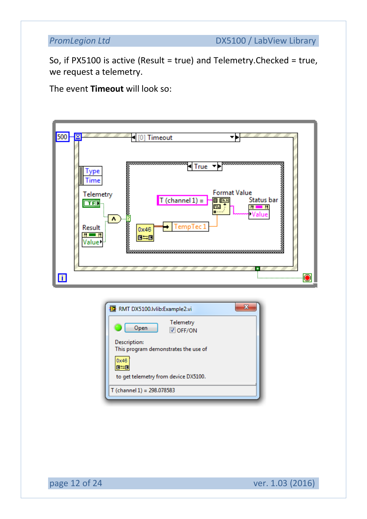**PromLegion Ltd** DX5100 / LabView Library

So, if PX5100 is active (Result = true) and Telemetry.Checked = true, we request a telemetry.

The event **Timeout** will look so:





page 12 of 24 ver. 1.03 (2016)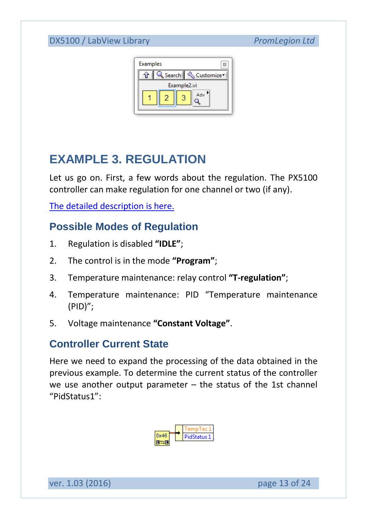

# <span id="page-12-0"></span>**EXAMPLE 3. REGULATION**

Let us go on. First, a few words about the regulation. The PX5100 controller can make regulation for one channel or two (if any).

[The detailed description is here.](http://www.rmtltd.ru/downloads/manuals/DX5100_Manual_V331.pdf)

# <span id="page-12-1"></span>**Possible Modes of Regulation**

- 1. Regulation is disabled **"IDLE"**;
- 2. The control is in the mode **"Program"**;
- 3. Temperature maintenance: relay control **"T-regulation"**;
- 4. Temperature maintenance: PID "Temperature maintenance (PID)";
- 5. Voltage maintenance **"Constant Voltage"**.

# <span id="page-12-2"></span>**Controller Current State**

Here we need to expand the processing of the data obtained in the previous example. To determine the current status of the controller we use another output parameter – the status of the 1st channel "PidStatus1":

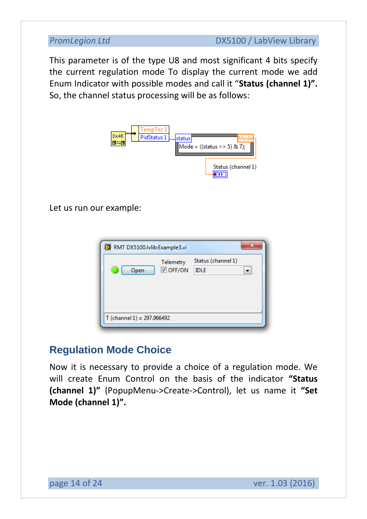This parameter is of the type U8 and most significant 4 bits specify the current regulation mode To display the current mode we add Enum Indicator with possible modes and call it "**Status (channel 1)".**  So, the channel status processing will be as follows:



Let us run our example:



# <span id="page-13-0"></span>**Regulation Mode Choice**

Now it is necessary to provide a choice of a regulation mode. We will create Enum Control on the basis of the indicator **"Status (channel 1)"** (PopupMenu->Create->Control), let us name it **"Set Mode (channel 1)".**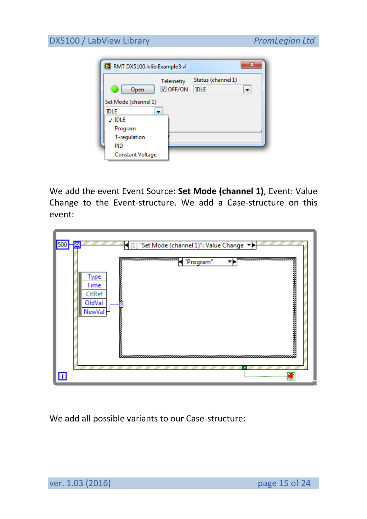| DX5100 / LabView Library | <b>PromLegion Ltd</b>                                                                                                                                            |
|--------------------------|------------------------------------------------------------------------------------------------------------------------------------------------------------------|
|                          | x<br>RMT DX5100.lvlib:Example3.vi                                                                                                                                |
|                          | Status (channel 1)<br>Telemetry<br>OFF/ON<br><b>IDLE</b><br>Open<br><b>IV</b><br>Set Mode (channel 1)<br><b>IDLE</b><br>▼<br>$J$ IDLE<br>Program<br>T-regulation |
|                          | PID<br><b>Constant Voltage</b>                                                                                                                                   |

We add the event Event Source**: Set Mode (channel 1)**, Event: Value Change to the Event-structure. We add a Case-structure on this event:



We add all possible variants to our Case-structure:

ver. 1.03 (2016) **page 15 of 24**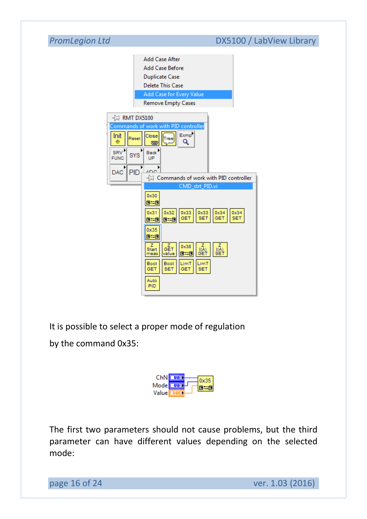

It is possible to select a proper mode of regulation

by the command 0x35:



The first two parameters should not cause problems, but the third parameter can have different values depending on the selected mode:

page 16 of 24 ver. 1.03 (2016)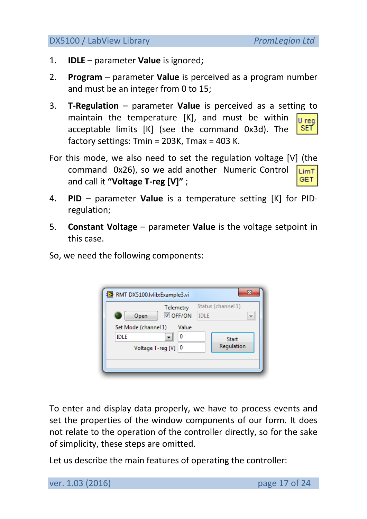- 1. **IDLE** parameter **Value** is ignored;
- 2. **Program** parameter **Value** is perceived as a program number and must be an integer from 0 to 15;
- 3. **T-Regulation** parameter **Value** is perceived as a setting to maintain the temperature [K], and must be within U reg acceptable limits [K] (see the command 0х3d). The **SET** factory settings: Tmin = 203K, Tmax = 403 K.
- For this mode, we also need to set the regulation voltage [V] (the command 0х26), so we add another Numeric Control LimT GET and call it **"Voltage T-reg [V]"** ;
- 4. **PID** parameter **Value** is a temperature setting [K] for PIDregulation;
- 5. **Constant Voltage** parameter **Value** is the voltage setpoint in this case.
- So, we need the following components:

| RMT DX5100.lvlib:Example3.vi<br>Open                     | Telemetry<br>OFF/ON | <b>IDLE</b> | х<br>Status (channel 1)    |
|----------------------------------------------------------|---------------------|-------------|----------------------------|
| Set Mode (channel 1)<br><b>IDLE</b><br>Voltage T-reg [V] | Value<br>0<br>10    |             | <b>Start</b><br>Regulation |
|                                                          |                     |             |                            |

To enter and display data properly, we have to process events and set the properties of the window components of our form. It does not relate to the operation of the controller directly, so for the sake of simplicity, these steps are omitted.

Let us describe the main features of operating the controller:

```
ver. 1.03 (2016) page 17 of 24
```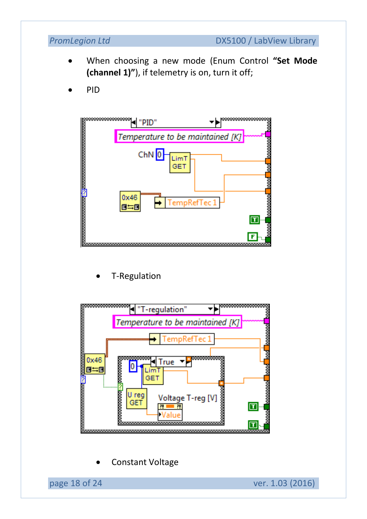- When choosing a new mode (Enum Control **"Set Mode (channel 1)"**), if telemetry is on, turn it off;
- PID



T-Regulation



Constant Voltage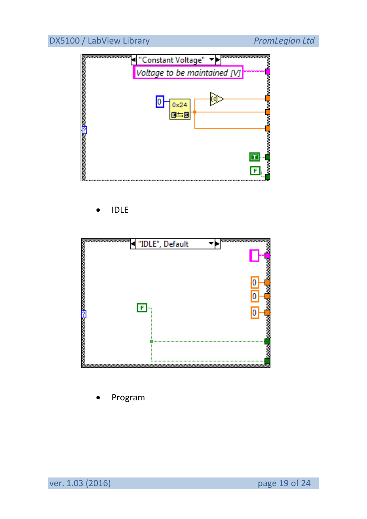

IDLE



Program

ver. 1.03 (2016) **page 19 of 24**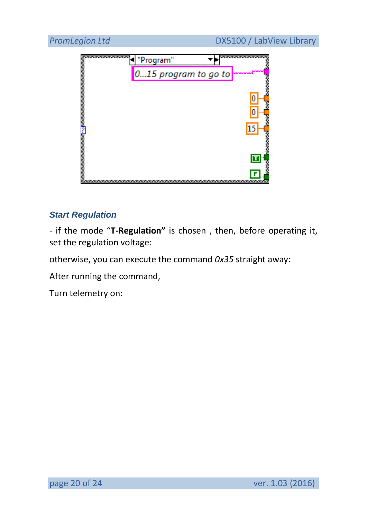

### <span id="page-19-0"></span>*Start Regulation*

- if the mode "**T-Regulation"** is chosen , then, before operating it, set the regulation voltage:

otherwise, you can execute the command *0x35* straight away:

After running the command,

Turn telemetry on: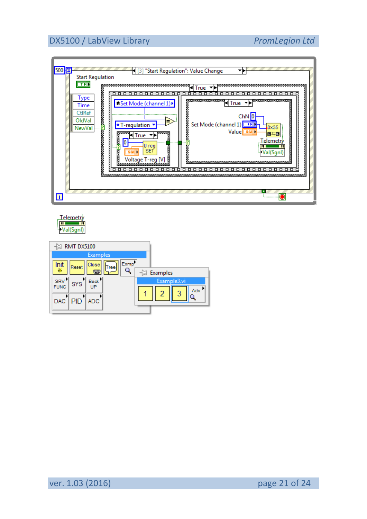

Telemetry ĪШ ≕ Val(Sgnl)



ver. 1.03 (2016) page 21 of 24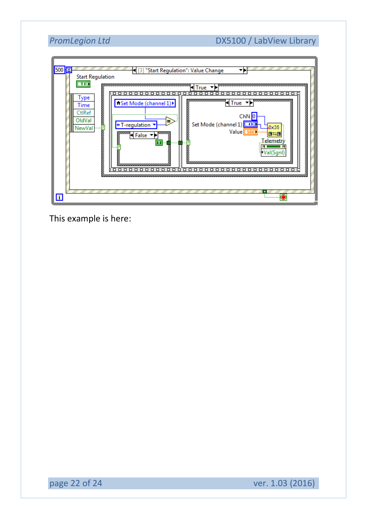# **PromLegion Ltd** DX5100 / LabView Library



This example is here:

page 22 of 24 ver. 1.03 (2016)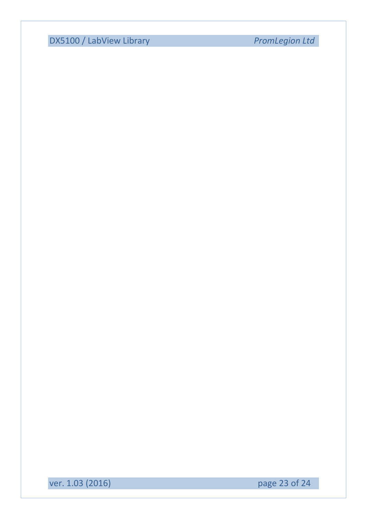ver. 1.03 (2016) **page 23 of 24**